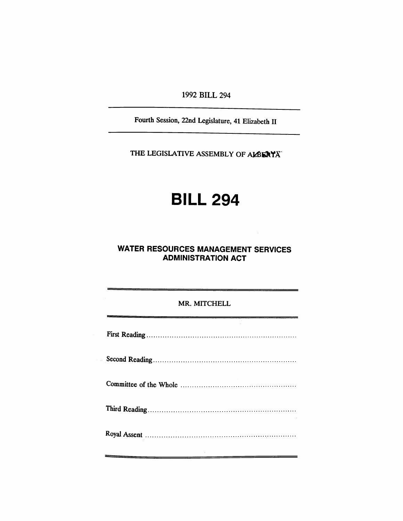**1992 BILL 294** 

Fourth Session, 22nd Legislature, 41 Elizabeth II

THE LEGISLATIVE ASSEMBLY OF ALBERYA<sup>"</sup>

## **BILL 294**

## **WATER RESOURCES MANAGEMENT SERVICES ADMINISTRATION ACT**

## MR. MITCHELL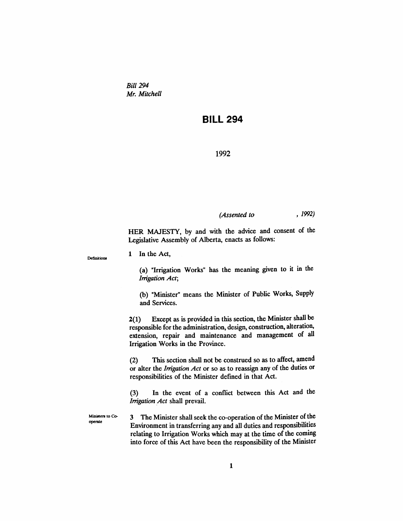*Bill 294 Mr. Mitchell* 

## **BILL 294**

**1992** 

*(Assented to , 1992)* 

HER MAJESTY, by and with the advice and consent of the Legislative Assembly of Alberta, enacts as follows:

**Definitions** 

1 In the Act,

(a) "Irrigation Works" has the meaning given to it in the *Irrigation Act;* 

(b) "Minister" means the Minister of Public Works, Supply and Services.

2(1) Except as is provided in this section, the Minister shall be responsible for the admmistration, design, construction, alteration, extension, repair and maintenance and management of all Irrigation Works in the Province.

(2) This section shaU not be construed so as to affect, amend or alter the *Irrigation Act* or so as to reassign any of the duties or responsibilities of the Minister defined in that Act.

(3) In the event of a conflict between this Act and the *Irrigation Act* shall prevail.

**Ministers to Cooperate** 

3 The Minister shaU seek the co-operation of the Minister of the Environment in transferring any and all duties and responsibilities relating to Irrigation Works which may at the time of the coming into force of this Act have been the responsibility of the Minister